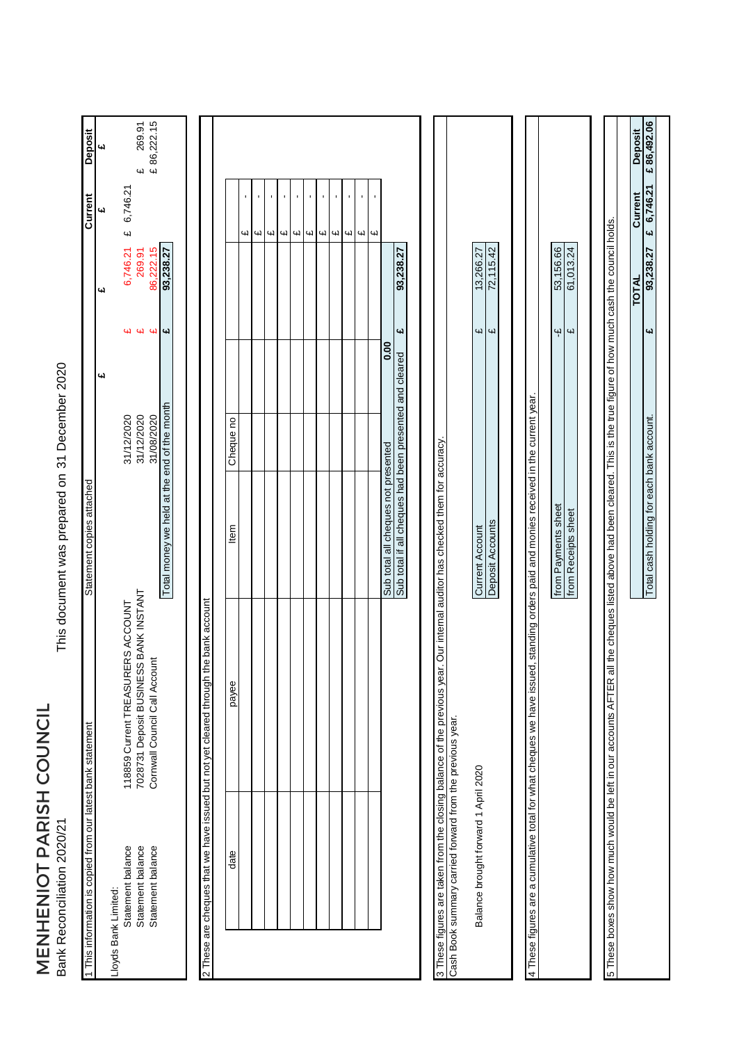MENHENIOT PARISH COUNCIL<br>Bank Reconciliation 2020/21 MENHENIOT PARISH COUNCIL Bank Reconciliation 2020/21

This document was prepared on 31 December 2020 31 December 2020 This document was prepared on

| 1 This information is copied from our latest bank statement             |                                                                                                                                                                            | Statement copies attached                               |            |                         |              | Current                    | Deposit                      |
|-------------------------------------------------------------------------|----------------------------------------------------------------------------------------------------------------------------------------------------------------------------|---------------------------------------------------------|------------|-------------------------|--------------|----------------------------|------------------------------|
|                                                                         |                                                                                                                                                                            |                                                         | 41         |                         | 41           | 41                         | <b>س</b>                     |
| Statement balance<br>Lloyds Bank Limited:                               | 118859 Current TREASURERS ACCOUNT                                                                                                                                          |                                                         | 31/12/2020 | 41                      | 6,746.21     | 6,746.21<br>$\overline{u}$ |                              |
| Statement balance                                                       | 7028731 Deposit BUSINESS BANK INSTANT                                                                                                                                      |                                                         | 31/12/2020 |                         | 269.91       |                            |                              |
| Statement balance                                                       | Cornwall Council Call Account                                                                                                                                              |                                                         | 31/08/2020 | 44                      | 86,222.15    |                            | £ 269.91<br>£ 86,222.15      |
|                                                                         |                                                                                                                                                                            | Total money we held at the end of the month             |            | $\overline{\mathbf{u}}$ | 93,238.27    |                            |                              |
|                                                                         |                                                                                                                                                                            |                                                         |            |                         |              |                            |                              |
|                                                                         | 2 These are cheques that we have issued but not yet cleared through the bank account                                                                                       |                                                         |            |                         |              |                            |                              |
|                                                                         |                                                                                                                                                                            |                                                         |            |                         |              |                            |                              |
| date                                                                    | payee                                                                                                                                                                      | Item                                                    | Cheque no  |                         |              |                            |                              |
|                                                                         |                                                                                                                                                                            |                                                         |            |                         |              | cЧ                         |                              |
|                                                                         |                                                                                                                                                                            |                                                         |            |                         |              | $\blacksquare$<br><b>G</b> |                              |
|                                                                         |                                                                                                                                                                            |                                                         |            |                         |              | Цł                         |                              |
|                                                                         |                                                                                                                                                                            |                                                         |            |                         |              | f,<br>$\mathbf{u}$         |                              |
|                                                                         |                                                                                                                                                                            |                                                         |            |                         |              | r.<br>41                   |                              |
|                                                                         |                                                                                                                                                                            |                                                         |            |                         |              | $\blacksquare$<br>4        |                              |
|                                                                         |                                                                                                                                                                            |                                                         |            |                         |              | ı<br>4                     |                              |
|                                                                         |                                                                                                                                                                            |                                                         |            |                         |              | $\mathbf{r}$               |                              |
|                                                                         |                                                                                                                                                                            |                                                         |            |                         |              | $\blacksquare$<br>Щ        |                              |
|                                                                         |                                                                                                                                                                            |                                                         |            |                         |              | ï<br>Цł                    |                              |
|                                                                         |                                                                                                                                                                            |                                                         |            |                         |              | $\omega$                   |                              |
|                                                                         |                                                                                                                                                                            | Sub total all cheques not presented                     | 0.00       |                         |              |                            |                              |
|                                                                         |                                                                                                                                                                            | Sub total if all cheques had been presented and cleared |            | یب                      | 93,238.27    |                            |                              |
|                                                                         |                                                                                                                                                                            |                                                         |            |                         |              |                            |                              |
| 3 These figures are taken from the closing balance of the previous year |                                                                                                                                                                            | r. Our internal auditor has checked them for accuracy   |            |                         |              |                            |                              |
| Cash Book summary carried forward from the previous year.               |                                                                                                                                                                            |                                                         |            |                         |              |                            |                              |
| Balance brought forward 1 April 2020                                    |                                                                                                                                                                            | <b>Current Account</b>                                  |            | Щ                       | 13,266.27    |                            |                              |
|                                                                         |                                                                                                                                                                            | Deposit Accounts                                        |            | $\overline{a}$          | 72,115.42    |                            |                              |
|                                                                         |                                                                                                                                                                            |                                                         |            |                         |              |                            |                              |
|                                                                         | 4 These figures are a cumulative total for what cheques we have issued, standing orders paid and monies received in the current year.                                      |                                                         |            |                         |              |                            |                              |
|                                                                         |                                                                                                                                                                            | from Payments sheet                                     |            | $\ddot{\mathbf{r}}$     | 53,156.66    |                            |                              |
|                                                                         |                                                                                                                                                                            | from Receipts sheet                                     |            | $\overline{\mathbf{u}}$ | 61,013.24    |                            |                              |
|                                                                         |                                                                                                                                                                            |                                                         |            |                         |              |                            |                              |
|                                                                         | 5 These boxes show how much would be left in our accounts AFTER all the chequees listed above had been cleared. This is the fue figure of how much cash the council holds. |                                                         |            |                         |              |                            |                              |
|                                                                         |                                                                                                                                                                            |                                                         |            |                         | <b>TOTAL</b> |                            |                              |
|                                                                         |                                                                                                                                                                            |                                                         |            | $\overline{\mathbf{u}}$ | 93,238.27    | £ 6,746.21<br>Current      | €86,492.06<br><b>Deposit</b> |
|                                                                         |                                                                                                                                                                            | Total cash holding for each bank account.               |            |                         |              |                            |                              |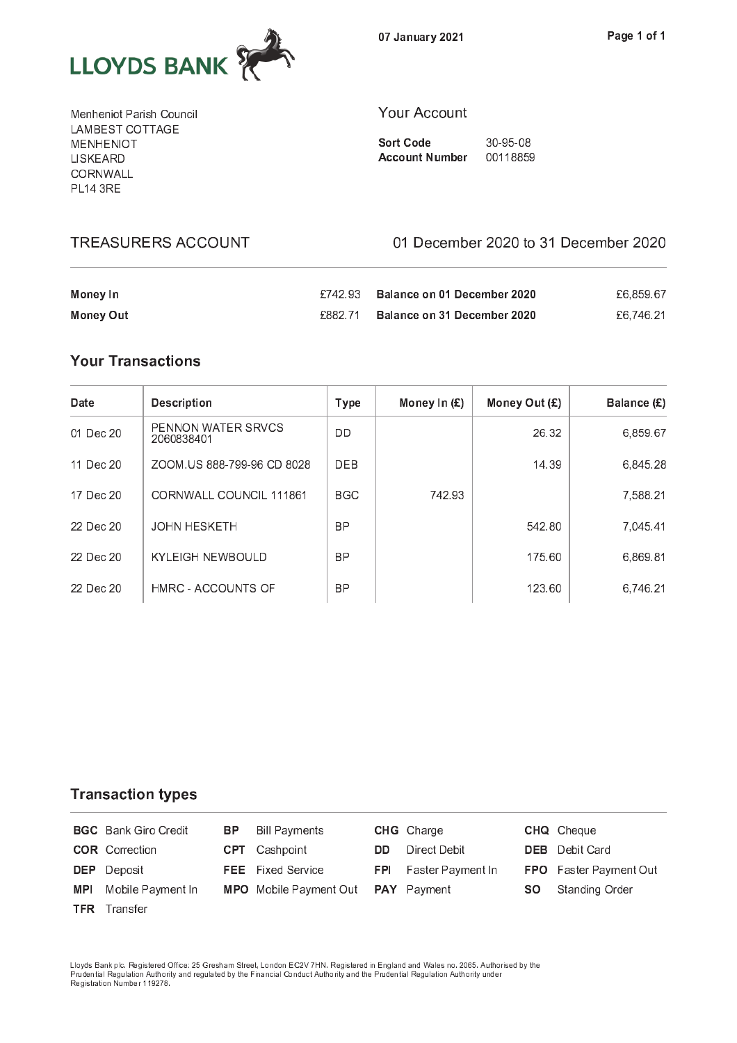

Menheniot Parish Council LAMBEST COTTAGE **MENHENIOT** LISKEARD CORNWALL **PL14 3RE** 

## **Your Account**

**Sort Code** 30-95-08 **Account Number** 00118859

**TREASURERS ACCOUNT** 

## 01 December 2020 to 31 December 2020

| Money In  |         | £742.93 Balance on 01 December 2020 | £6.859.67 |
|-----------|---------|-------------------------------------|-----------|
| Money Out | £882 71 | Balance on 31 December 2020         | £6,746.21 |

## **Your Transactions**

| Date      | <b>Description</b>                      | Type       | Money In $(E)$ | Money Out $(E)$ | Balance (£) |
|-----------|-----------------------------------------|------------|----------------|-----------------|-------------|
| 01 Dec 20 | <b>PENNON WATER SRVCS</b><br>2060838401 | DD         |                | 26.32           | 6,859.67    |
| 11 Dec 20 | ZOOM US 888-799-96 CD 8028              | <b>DEB</b> |                | 14.39           | 6.845.28    |
| 17 Dec 20 | CORNWALL COUNCIL 111861                 | <b>BGC</b> | 742.93         |                 | 7,588.21    |
| 22 Dec 20 | <b>JOHN HESKETH</b>                     | <b>BP</b>  |                | 542.80          | 7,045.41    |
| 22 Dec 20 | <b>KYLEIGH NEWBOULD</b>                 | <b>BP</b>  |                | 175.60          | 6.869.81    |
| 22 Dec 20 | HMRC - ACCOUNTS OF                      | <b>BP</b>  |                | 123.60          | 6,746.21    |

**Transaction types** 

|            | <b>BGC</b> Bank Giro Credit | <b>BP</b> Bill Payments                          |     | <b>CHG</b> Charge            |           | <b>CHQ</b> Cheque             |
|------------|-----------------------------|--------------------------------------------------|-----|------------------------------|-----------|-------------------------------|
|            | <b>COR</b> Correction       | <b>CPT</b> Cashpoint                             | DD. | Direct Debit                 |           | <b>DEB</b> Debit Card         |
|            | <b>DEP</b> Deposit          | <b>FEE</b> Fixed Service                         |     | <b>FPI</b> Faster Payment In |           | <b>FPO</b> Faster Payment Out |
| <b>MPI</b> | Mobile Payment In           | <b>MPO</b> Mobile Payment Out <b>PAY</b> Payment |     |                              | <b>SO</b> | Standing Order                |
|            | <b>TFR</b> Transfer         |                                                  |     |                              |           |                               |

Lloyds Bank plc. Registered Office: 25 Gresham Street, London EC2V 7HN. Registered in England and Wales no. 2065. Authorised by the<br>Prudential Regulation Authority and regulated by the Financial Conduct Authority and the P Registration Number 119278.